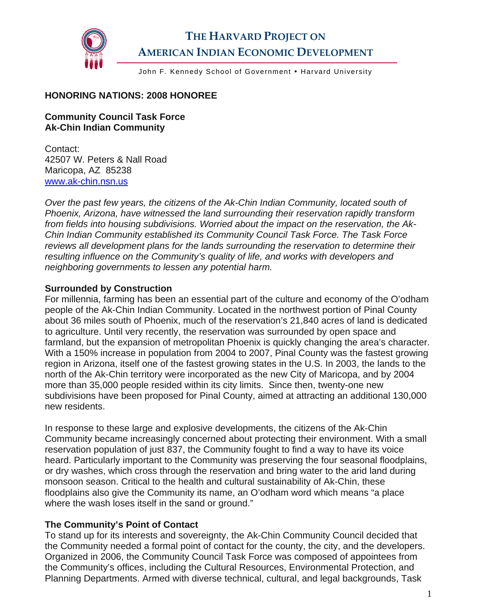

# **THE HARVARD PROJECT ON AMERICAN INDIAN ECONOMIC DEVELOPMENT**

John F. Kennedy School of Government . Harvard University

#### **HONORING NATIONS: 2008 HONOREE**

#### **Community Council Task Force Ak-Chin Indian Community**

Contact: 42507 W. Peters & Nall Road Maricopa, AZ 85238 [www.ak-chin.nsn.us](http://www.ak-chin.nsn.us/)

*Over the past few years, the citizens of the Ak-Chin Indian Community, located south of Phoenix, Arizona, have witnessed the land surrounding their reservation rapidly transform from fields into housing subdivisions. Worried about the impact on the reservation, the Ak-Chin Indian Community established its Community Council Task Force. The Task Force reviews all development plans for the lands surrounding the reservation to determine their resulting influence on the Community's quality of life, and works with developers and neighboring governments to lessen any potential harm.* 

#### **Surrounded by Construction**

For millennia, farming has been an essential part of the culture and economy of the O'odham people of the Ak-Chin Indian Community. Located in the northwest portion of Pinal County about 36 miles south of Phoenix, much of the reservation's 21,840 acres of land is dedicated to agriculture. Until very recently, the reservation was surrounded by open space and farmland, but the expansion of metropolitan Phoenix is quickly changing the area's character. With a 150% increase in population from 2004 to 2007, Pinal County was the fastest growing region in Arizona, itself one of the fastest growing states in the U.S. In 2003, the lands to the north of the Ak-Chin territory were incorporated as the new City of Maricopa, and by 2004 more than 35,000 people resided within its city limits. Since then, twenty-one new subdivisions have been proposed for Pinal County, aimed at attracting an additional 130,000 new residents.

In response to these large and explosive developments, the citizens of the Ak-Chin Community became increasingly concerned about protecting their environment. With a small reservation population of just 837, the Community fought to find a way to have its voice heard. Particularly important to the Community was preserving the four seasonal floodplains, or dry washes, which cross through the reservation and bring water to the arid land during monsoon season. Critical to the health and cultural sustainability of Ak-Chin, these floodplains also give the Community its name, an O'odham word which means "a place where the wash loses itself in the sand or ground."

#### **The Community's Point of Contact**

To stand up for its interests and sovereignty, the Ak-Chin Community Council decided that the Community needed a formal point of contact for the county, the city, and the developers. Organized in 2006, the Community Council Task Force was composed of appointees from the Community's offices, including the Cultural Resources, Environmental Protection, and Planning Departments. Armed with diverse technical, cultural, and legal backgrounds, Task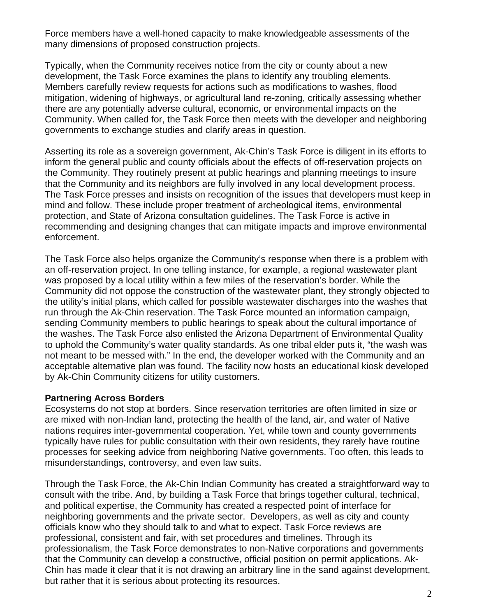Force members have a well-honed capacity to make knowledgeable assessments of the many dimensions of proposed construction projects.

Typically, when the Community receives notice from the city or county about a new development, the Task Force examines the plans to identify any troubling elements. Members carefully review requests for actions such as modifications to washes, flood mitigation, widening of highways, or agricultural land re-zoning, critically assessing whether there are any potentially adverse cultural, economic, or environmental impacts on the Community. When called for, the Task Force then meets with the developer and neighboring governments to exchange studies and clarify areas in question.

Asserting its role as a sovereign government, Ak-Chin's Task Force is diligent in its efforts to inform the general public and county officials about the effects of off-reservation projects on the Community. They routinely present at public hearings and planning meetings to insure that the Community and its neighbors are fully involved in any local development process. The Task Force presses and insists on recognition of the issues that developers must keep in mind and follow. These include proper treatment of archeological items, environmental protection, and State of Arizona consultation guidelines. The Task Force is active in recommending and designing changes that can mitigate impacts and improve environmental enforcement.

The Task Force also helps organize the Community's response when there is a problem with an off-reservation project. In one telling instance, for example, a regional wastewater plant was proposed by a local utility within a few miles of the reservation's border. While the Community did not oppose the construction of the wastewater plant, they strongly objected to the utility's initial plans, which called for possible wastewater discharges into the washes that run through the Ak-Chin reservation. The Task Force mounted an information campaign, sending Community members to public hearings to speak about the cultural importance of the washes. The Task Force also enlisted the Arizona Department of Environmental Quality to uphold the Community's water quality standards. As one tribal elder puts it, "the wash was not meant to be messed with." In the end, the developer worked with the Community and an acceptable alternative plan was found. The facility now hosts an educational kiosk developed by Ak-Chin Community citizens for utility customers.

#### **Partnering Across Borders**

Ecosystems do not stop at borders. Since reservation territories are often limited in size or are mixed with non-Indian land, protecting the health of the land, air, and water of Native nations requires inter-governmental cooperation. Yet, while town and county governments typically have rules for public consultation with their own residents, they rarely have routine processes for seeking advice from neighboring Native governments. Too often, this leads to misunderstandings, controversy, and even law suits.

Through the Task Force, the Ak-Chin Indian Community has created a straightforward way to consult with the tribe. And, by building a Task Force that brings together cultural, technical, and political expertise, the Community has created a respected point of interface for neighboring governments and the private sector. Developers, as well as city and county officials know who they should talk to and what to expect. Task Force reviews are professional, consistent and fair, with set procedures and timelines. Through its professionalism, the Task Force demonstrates to non-Native corporations and governments that the Community can develop a constructive, official position on permit applications. Ak-Chin has made it clear that it is not drawing an arbitrary line in the sand against development, but rather that it is serious about protecting its resources.